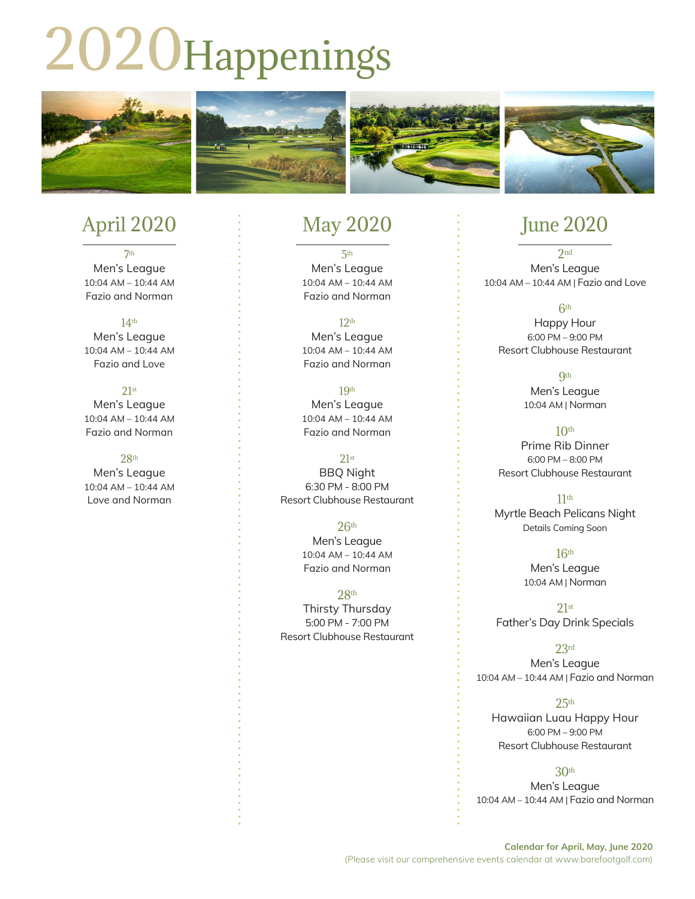# 2020Happenings



### April 2020

7th Men's League 10:04 AM – 10:44 AM Fazio and Norman

14th Men's League 10:04 AM – 10:44 AM Fazio and Love

#### 21st Men's League 10:04 AM – 10:44 AM Fazio and Norman

#### 28th

Men's League 10:04 AM – 10:44 AM Love and Norman

## May 2020

5th Men's League 10:04 AM – 10:44 AM Fazio and Norman

12th Men's League 10:04 AM – 10:44 AM Fazio and Norman

19th Men's League 10:04 AM – 10:44 AM Fazio and Norman

21st BBQ Night 6:30 PM - 8:00 PM Resort Clubhouse Restaurant

> $26<sup>th</sup>$ Men's League 10:04 AM – 10:44 AM Fazio and Norman

28th Thirsty Thursday 5:00 PM - 7:00 PM Resort Clubhouse Restaurant

## June 2020

 $2<sub>nd</sub>$ Men's League 10:04 AM – 10:44 AM | Fazio and Love

6th Happy Hour 6:00 PM – 9:00 PM Resort Clubhouse Restaurant

> **9th** Men's League 10:04 AM | Norman

 $10<sup>th</sup>$ Prime Rib Dinner 6:00 PM – 8:00 PM Resort Clubhouse Restaurant

 $11<sup>th</sup>$ Myrtle Beach Pelicans Night Details Coming Soon

> $16<sup>th</sup>$ Men's League 10:04 AM | Norman

21st Father's Day Drink Specials

23rd Men's League 10:04 AM – 10:44 AM | Fazio and Norman

 $25<sup>th</sup>$ Hawaiian Luau Happy Hour 6:00 PM – 9:00 PM Resort Clubhouse Restaurant

30th Men's League 10:04 AM – 10:44 AM | Fazio and Norman